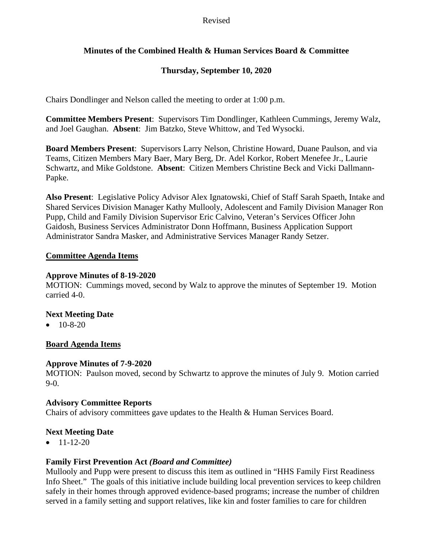#### Revised

# **Minutes of the Combined Health & Human Services Board & Committee**

# **Thursday, September 10, 2020**

Chairs Dondlinger and Nelson called the meeting to order at 1:00 p.m.

**Committee Members Present**: Supervisors Tim Dondlinger, Kathleen Cummings, Jeremy Walz, and Joel Gaughan. **Absent**: Jim Batzko, Steve Whittow, and Ted Wysocki.

**Board Members Present**: Supervisors Larry Nelson, Christine Howard, Duane Paulson, and via Teams, Citizen Members Mary Baer, Mary Berg, Dr. Adel Korkor, Robert Menefee Jr., Laurie Schwartz, and Mike Goldstone. **Absent**: Citizen Members Christine Beck and Vicki Dallmann-Papke.

**Also Present**: Legislative Policy Advisor Alex Ignatowski, Chief of Staff Sarah Spaeth, Intake and Shared Services Division Manager Kathy Mullooly, Adolescent and Family Division Manager Ron Pupp, Child and Family Division Supervisor Eric Calvino, Veteran's Services Officer John Gaidosh, Business Services Administrator Donn Hoffmann, Business Application Support Administrator Sandra Masker, and Administrative Services Manager Randy Setzer.

#### **Committee Agenda Items**

#### **Approve Minutes of 8-19-2020**

MOTION: Cummings moved, second by Walz to approve the minutes of September 19. Motion carried 4-0.

## **Next Meeting Date**

 $\bullet$  10-8-20

## **Board Agenda Items**

#### **Approve Minutes of 7-9-2020**

MOTION: Paulson moved, second by Schwartz to approve the minutes of July 9. Motion carried  $9-0.$ 

## **Advisory Committee Reports**

Chairs of advisory committees gave updates to the Health & Human Services Board.

## **Next Meeting Date**

 $\bullet$  11-12-20

## **Family First Prevention Act** *(Board and Committee)*

Mullooly and Pupp were present to discuss this item as outlined in "HHS Family First Readiness Info Sheet." The goals of this initiative include building local prevention services to keep children safely in their homes through approved evidence-based programs; increase the number of children served in a family setting and support relatives, like kin and foster families to care for children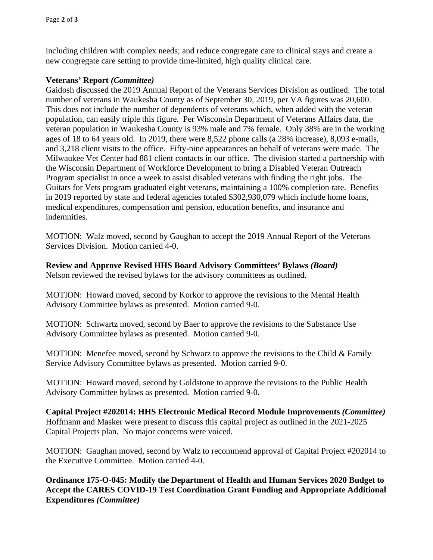including children with complex needs; and reduce congregate care to clinical stays and create a new congregate care setting to provide time-limited, high quality clinical care.

# **Veterans' Report** *(Committee)*

Gaidosh discussed the 2019 Annual Report of the Veterans Services Division as outlined. The total number of veterans in Waukesha County as of September 30, 2019, per VA figures was 20,600. This does not include the number of dependents of veterans which, when added with the veteran population, can easily triple this figure. Per Wisconsin Department of Veterans Affairs data, the veteran population in Waukesha County is 93% male and 7% female. Only 38% are in the working ages of 18 to 64 years old. In 2019, there were 8,522 phone calls (a 28% increase), 8,093 e-mails, and 3,218 client visits to the office. Fifty-nine appearances on behalf of veterans were made. The Milwaukee Vet Center had 881 client contacts in our office. The division started a partnership with the Wisconsin Department of Workforce Development to bring a Disabled Veteran Outreach Program specialist in once a week to assist disabled veterans with finding the right jobs. The Guitars for Vets program graduated eight veterans, maintaining a 100% completion rate. Benefits in 2019 reported by state and federal agencies totaled \$302,930,079 which include home loans, medical expenditures, compensation and pension, education benefits, and insurance and indemnities.

MOTION: Walz moved, second by Gaughan to accept the 2019 Annual Report of the Veterans Services Division. Motion carried 4-0.

**Review and Approve Revised HHS Board Advisory Committees' Bylaws** *(Board)*

Nelson reviewed the revised bylaws for the advisory committees as outlined.

MOTION: Howard moved, second by Korkor to approve the revisions to the Mental Health Advisory Committee bylaws as presented. Motion carried 9-0.

MOTION: Schwartz moved, second by Baer to approve the revisions to the Substance Use Advisory Committee bylaws as presented. Motion carried 9-0.

MOTION: Menefee moved, second by Schwarz to approve the revisions to the Child & Family Service Advisory Committee bylaws as presented. Motion carried 9-0.

MOTION: Howard moved, second by Goldstone to approve the revisions to the Public Health Advisory Committee bylaws as presented. Motion carried 9-0.

**Capital Project #202014: HHS Electronic Medical Record Module Improvements** *(Committee)* Hoffmann and Masker were present to discuss this capital project as outlined in the 2021-2025 Capital Projects plan. No major concerns were voiced.

MOTION: Gaughan moved, second by Walz to recommend approval of Capital Project #202014 to the Executive Committee. Motion carried 4-0.

**Ordinance 175-O-045: Modify the Department of Health and Human Services 2020 Budget to Accept the CARES COVID-19 Test Coordination Grant Funding and Appropriate Additional Expenditures** *(Committee)*